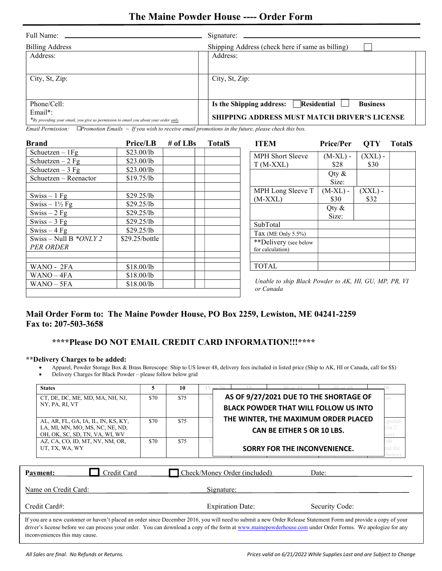# The Maine Powder House ---- Order Form

| Full Name:                                                                           | Signature:                                                 |
|--------------------------------------------------------------------------------------|------------------------------------------------------------|
| <b>Billing Address</b>                                                               | Shipping Address (check here if same as billing)           |
| Address:                                                                             | Address:                                                   |
|                                                                                      |                                                            |
| City, St, Zip:                                                                       | City, St, Zip:                                             |
|                                                                                      |                                                            |
|                                                                                      |                                                            |
| Phone/Cell:                                                                          | Residential<br><b>Business</b><br>Is the Shipping address: |
| $Email*$ :                                                                           | <b>SHIPPING ADDRESS MUST MATCH DRIVER'S LICENSE</b>        |
| *By providing your email, you give us permission to email you about your order only. |                                                            |

Email Permission:  $\Box$ Promotion Emails  $\sim$  If you wish to receive email promotions in the future, please check this box.

| <b>Brand</b>                                | <b>Price/LB</b>          | # of $LBs$ | <b>Total</b> | <b>ITEM</b>                                                        | <b>Price/Per</b>   | <b>OTY</b>        | <b>Total</b> |
|---------------------------------------------|--------------------------|------------|--------------|--------------------------------------------------------------------|--------------------|-------------------|--------------|
| Schuetzen $-1$ Fg                           | \$23.00/lb               |            |              | <b>MPH Short Sleeve</b>                                            | $(M-XL)$ -         | $(XXL)$ -         |              |
| Schuetzen $-2$ Fg                           | \$23.00/lb               |            |              | $T(M-XXL)$                                                         | \$28               | \$30              |              |
| Schuetzen $-3$ Fg                           | \$23.00/lb               |            |              |                                                                    |                    |                   |              |
| Schuetzen - Reenactor                       | \$19.75/lb               |            |              |                                                                    | Qty &<br>Size:     |                   |              |
| $Swiss-1 Fg$                                | \$29.25/lb               |            |              | MPH Long Sleeve T<br>$(M-XXL)$                                     | $(M-XL)$ -<br>\$30 | $(XXL)$ -<br>\$32 |              |
| Swiss $-1\frac{1}{2}$ Fg<br>$Swiss - 2 Fg$  | \$29.25/lb<br>\$29.25/lb |            |              |                                                                    | Qty $\&$<br>Size:  |                   |              |
| Swiss $-3$ Fg                               | \$29.25/lb               |            |              | SubTotal                                                           |                    |                   |              |
| Swiss $-4$ Fg                               | \$29.25/lb               |            |              | Tax (ME Only 5.5%)                                                 |                    |                   |              |
| Swiss – Null B $*ONLY2$<br><b>PER ORDER</b> | \$29.25/bottle           |            |              | **Delivery (see below<br>for calculation)                          |                    |                   |              |
|                                             |                          |            |              |                                                                    |                    |                   |              |
| WANO - 2FA                                  | \$18.00/lb               |            |              | <b>TOTAL</b>                                                       |                    |                   |              |
| $WANO - 4FA$                                | \$18.00/lb               |            |              |                                                                    |                    |                   |              |
| $WANO - 5FA$                                | \$18.00/lb               |            |              | Unable to ship Black Powder to AK, HI, GU, MP, PR, VI<br>or Canada |                    |                   |              |

### Mail Order Form to: The Maine Powder House, PO Box 2259, Lewiston, ME 04241-2259 Fax to: 207-503-3658

## \*\*\*\*Please DO NOT EMAIL CREDIT CARD INFORMATION!!!\*\*\*\*

#### \*\*Delivery Charges to be added:

- Apparel, Powder Storage Box & Brass Borescope: Ship to US lower 48, delivery fees included in listed price (Ship to AK, HI or Canada, call for \$\$)
- Delivery Charges for Black Powder please follow below grid

| <b>States</b>                                                                                            | 5    | 10   | 30er 35<br>$40$ or $45$<br>0.000                                                       |                                      |
|----------------------------------------------------------------------------------------------------------|------|------|----------------------------------------------------------------------------------------|--------------------------------------|
| CT, DE, DC, ME, MD, MA, NH, NJ,<br>NY, PA, RI, VT                                                        | \$70 | \$75 | AS OF 9/27/2021 DUE TO THE SHORTAGE OF<br><b>BLACK POWDER THAT WILL FOLLOW US INTO</b> | ee                                   |
| AL, AR, FL, GA, IA, IL, IN, KS, KY,<br>LA, MI, MN, MO, MS, NC, NE, ND,<br>OH, OK, SC, SD, TN, VA, WI, WV | \$70 | \$75 | THE WINTER, THE MAXIMUM ORDER PLACED<br><b>CAN BE EITHER 5 OR 10 LBS.</b>              | gional<br>for 2                      |
| AZ, CA, CO, ID, MT, NV, NM, OR,<br>UT, TX, WA, WY                                                        | \$70 | \$75 | <b>SORRY FOR THE INCONVENIENCE.</b>                                                    | 00 <sup>2</sup><br>nal fee<br>boxes] |
| Credit Card<br>Payment:                                                                                  |      |      | Check/Money Order (included)<br>Date:                                                  |                                      |
| Name on Credit Card:                                                                                     |      |      | Signature:                                                                             |                                      |
| Credit Card#:                                                                                            |      |      | <b>Expiration Date:</b><br>Security Code:                                              |                                      |

i<br>I